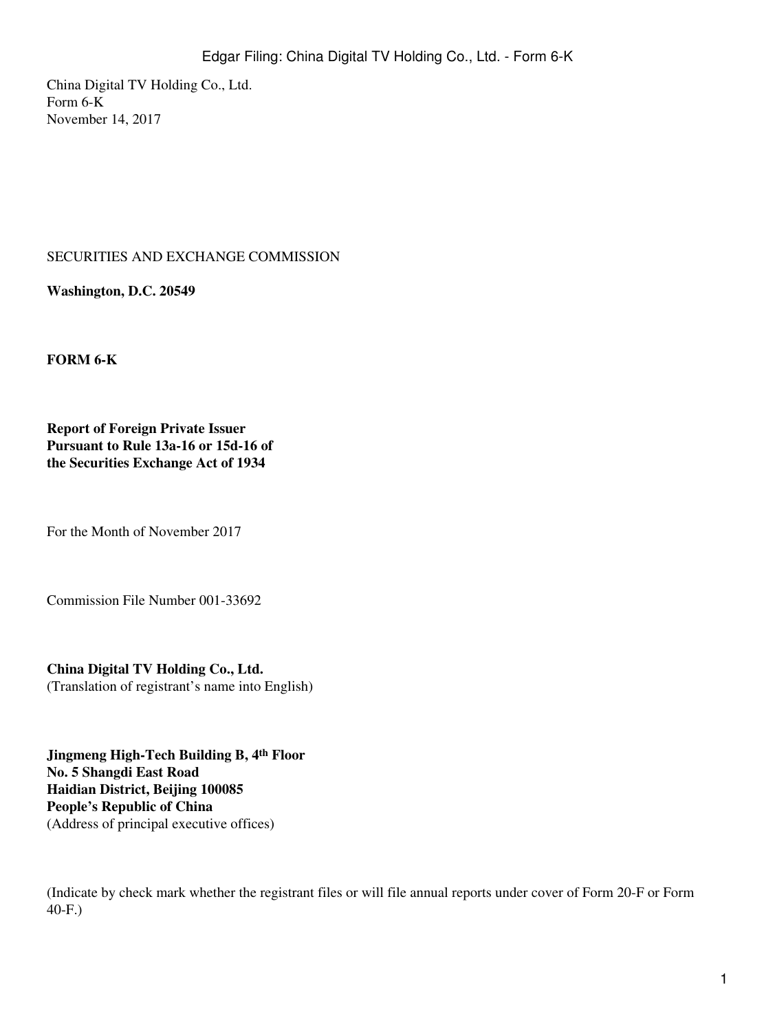China Digital TV Holding Co., Ltd. Form 6-K November 14, 2017

## SECURITIES AND EXCHANGE COMMISSION

**Washington, D.C. 20549**

**FORM 6-K**

**Report of Foreign Private Issuer Pursuant to Rule 13a-16 or 15d-16 of the Securities Exchange Act of 1934**

For the Month of November 2017

Commission File Number 001-33692

**China Digital TV Holding Co., Ltd.** (Translation of registrant's name into English)

**Jingmeng High-Tech Building B, 4th Floor No. 5 Shangdi East Road Haidian District, Beijing 100085 People's Republic of China** (Address of principal executive offices)

(Indicate by check mark whether the registrant files or will file annual reports under cover of Form 20-F or Form 40-F.)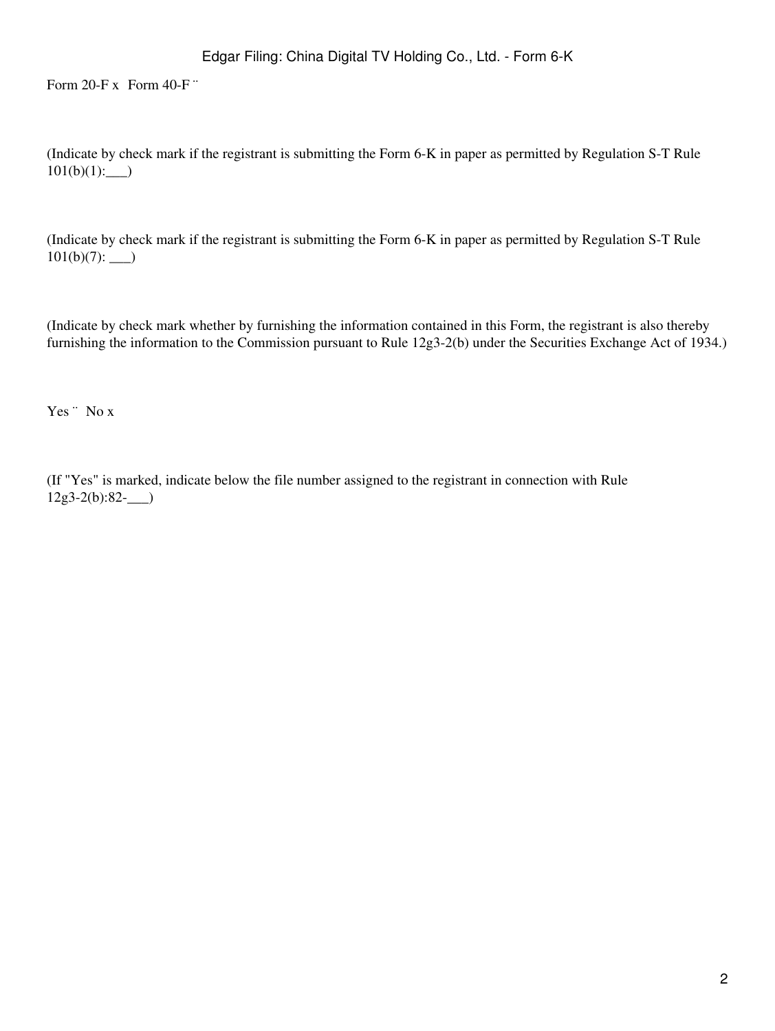Form  $20-Fx$  Form  $40-F$  "

(Indicate by check mark if the registrant is submitting the Form 6-K in paper as permitted by Regulation S-T Rule  $101(b)(1):$ 

(Indicate by check mark if the registrant is submitting the Form 6-K in paper as permitted by Regulation S-T Rule 101(b)(7): \_\_\_)

(Indicate by check mark whether by furnishing the information contained in this Form, the registrant is also thereby furnishing the information to the Commission pursuant to Rule 12g3-2(b) under the Securities Exchange Act of 1934.)

Yes <sup>"</sup> No x

(If "Yes" is marked, indicate below the file number assigned to the registrant in connection with Rule  $12g3-2(b):82-$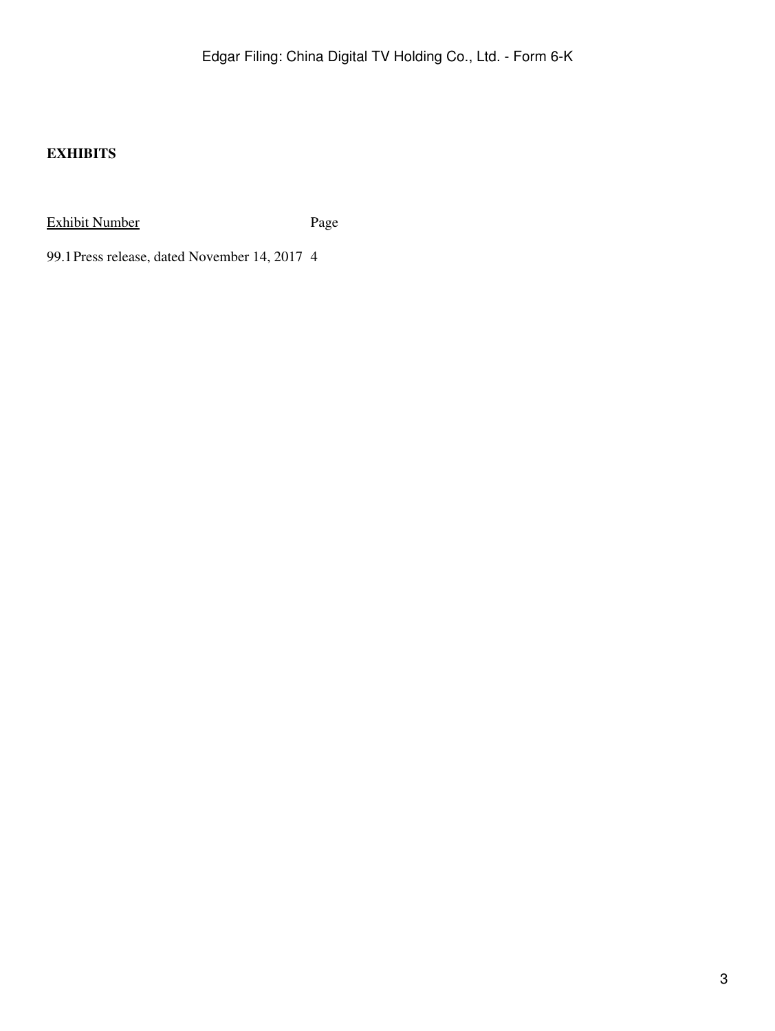## **EXHIBITS**

Exhibit Number Page

99.1Press release, dated November 14, 2017 4